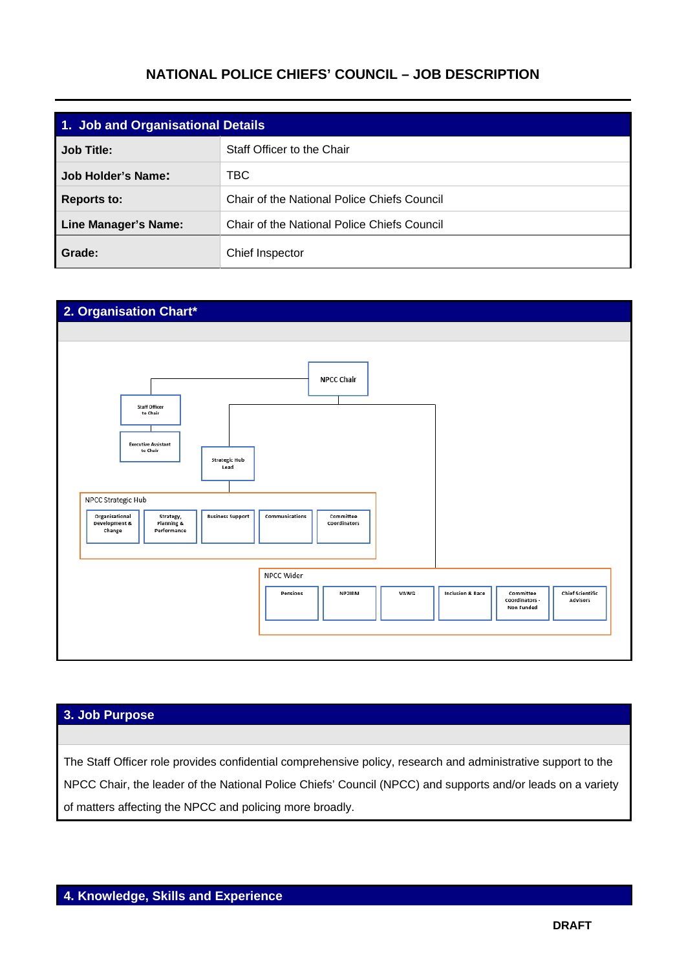## **NATIONAL POLICE CHIEFS' COUNCIL – JOB DESCRIPTION**

| 1. Job and Organisational Details |                                             |
|-----------------------------------|---------------------------------------------|
| Job Title:                        | Staff Officer to the Chair                  |
| <b>Job Holder's Name:</b>         | TBC                                         |
| <b>Reports to:</b>                | Chair of the National Police Chiefs Council |
| Line Manager's Name:              | Chair of the National Police Chiefs Council |
| Grade:                            | Chief Inspector                             |



## **3. Job Purpose**

The Staff Officer role provides confidential comprehensive policy, research and administrative support to the NPCC Chair, the leader of the National Police Chiefs' Council (NPCC) and supports and/or leads on a variety of matters affecting the NPCC and policing more broadly.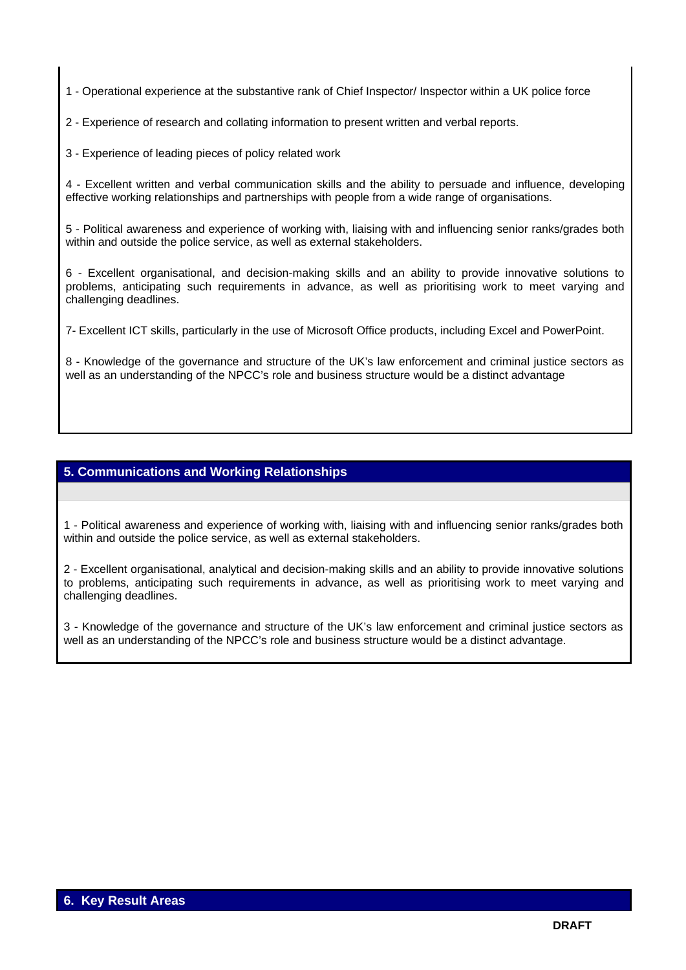1 - Operational experience at the substantive rank of Chief Inspector/ Inspector within a UK police force

2 - Experience of research and collating information to present written and verbal reports.

3 - Experience of leading pieces of policy related work

4 - Excellent written and verbal communication skills and the ability to persuade and influence, developing effective working relationships and partnerships with people from a wide range of organisations.

5 - Political awareness and experience of working with, liaising with and influencing senior ranks/grades both within and outside the police service, as well as external stakeholders.

6 - Excellent organisational, and decision-making skills and an ability to provide innovative solutions to problems, anticipating such requirements in advance, as well as prioritising work to meet varying and challenging deadlines.

7- Excellent ICT skills, particularly in the use of Microsoft Office products, including Excel and PowerPoint.

8 - Knowledge of the governance and structure of the UK's law enforcement and criminal justice sectors as well as an understanding of the NPCC's role and business structure would be a distinct advantage

## **5. Communications and Working Relationships**

1 - Political awareness and experience of working with, liaising with and influencing senior ranks/grades both within and outside the police service, as well as external stakeholders.

2 - Excellent organisational, analytical and decision-making skills and an ability to provide innovative solutions to problems, anticipating such requirements in advance, as well as prioritising work to meet varying and challenging deadlines.

3 - Knowledge of the governance and structure of the UK's law enforcement and criminal justice sectors as well as an understanding of the NPCC's role and business structure would be a distinct advantage.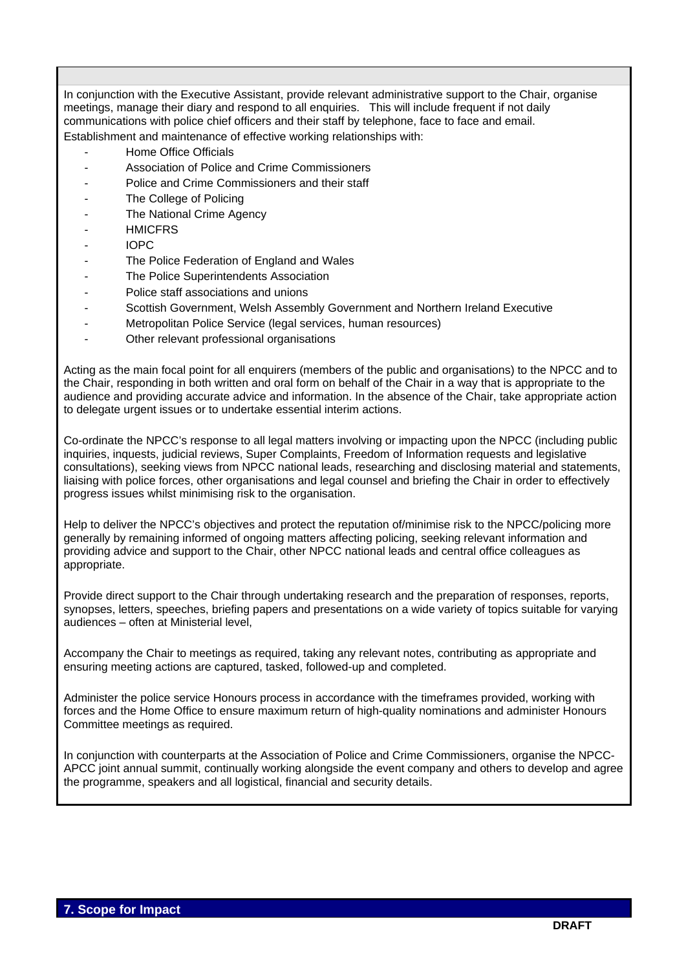In conjunction with the Executive Assistant, provide relevant administrative support to the Chair, organise meetings, manage their diary and respond to all enquiries. This will include frequent if not daily communications with police chief officers and their staff by telephone, face to face and email. Establishment and maintenance of effective working relationships with:

- Home Office Officials
- Association of Police and Crime Commissioners
- Police and Crime Commissioners and their staff
- The College of Policing
- The National Crime Agency
- **HMICFRS**
- IOPC
- The Police Federation of England and Wales
- The Police Superintendents Association
- Police staff associations and unions
- Scottish Government, Welsh Assembly Government and Northern Ireland Executive
- Metropolitan Police Service (legal services, human resources)
- Other relevant professional organisations

Acting as the main focal point for all enquirers (members of the public and organisations) to the NPCC and to the Chair, responding in both written and oral form on behalf of the Chair in a way that is appropriate to the audience and providing accurate advice and information. In the absence of the Chair, take appropriate action to delegate urgent issues or to undertake essential interim actions.

Co-ordinate the NPCC's response to all legal matters involving or impacting upon the NPCC (including public inquiries, inquests, judicial reviews, Super Complaints, Freedom of Information requests and legislative consultations), seeking views from NPCC national leads, researching and disclosing material and statements, liaising with police forces, other organisations and legal counsel and briefing the Chair in order to effectively progress issues whilst minimising risk to the organisation.

Help to deliver the NPCC's objectives and protect the reputation of/minimise risk to the NPCC/policing more generally by remaining informed of ongoing matters affecting policing, seeking relevant information and providing advice and support to the Chair, other NPCC national leads and central office colleagues as appropriate.

Provide direct support to the Chair through undertaking research and the preparation of responses, reports, synopses, letters, speeches, briefing papers and presentations on a wide variety of topics suitable for varying audiences – often at Ministerial level,

Accompany the Chair to meetings as required, taking any relevant notes, contributing as appropriate and ensuring meeting actions are captured, tasked, followed-up and completed.

Administer the police service Honours process in accordance with the timeframes provided, working with forces and the Home Office to ensure maximum return of high-quality nominations and administer Honours Committee meetings as required.

In conjunction with counterparts at the Association of Police and Crime Commissioners, organise the NPCC-APCC joint annual summit, continually working alongside the event company and others to develop and agree the programme, speakers and all logistical, financial and security details.